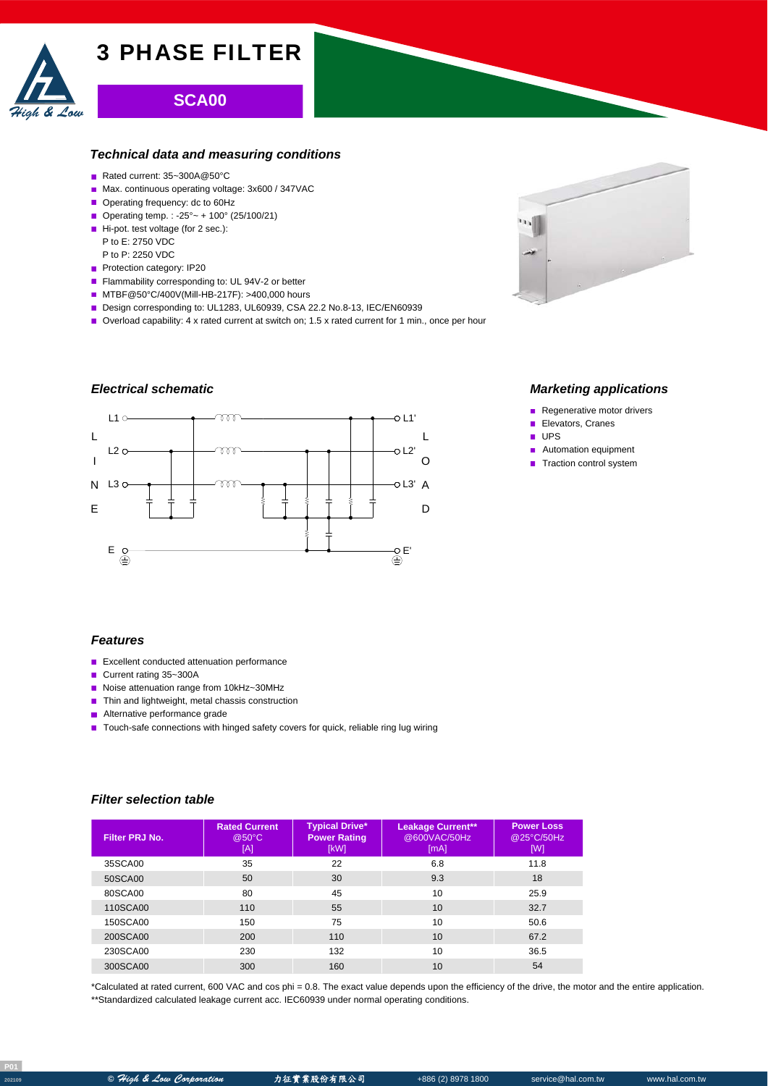

# **SCA00**

## *Technical data and measuring conditions*

- Rated current: 35~300A@50°C
- Max. continuous operating voltage: 3x600 / 347VAC
- Operating frequency: dc to 60Hz
- Operating temp. : -25° ~ + 100° (25/100/21)
- Hi-pot. test voltage (for 2 sec.): P to E: 2750 VDC
- P to P: 2250 VDC
- Protection category: IP20
- Flammability corresponding to: UL 94V-2 or better
- MTBF@50°C/400V(Mill-HB-217F): >400,000 hours
- Design corresponding to: UL1283, UL60939, CSA 22.2 No.8-13, IEC/EN60939
- Overload capability: 4 x rated current at switch on; 1.5 x rated current for 1 min., once per hour

# *Electrical schematic*





## *Marketing applications*

- Regenerative motor drivers
- Ē. Elevators, Cranes
- $\blacksquare$  UPS
- Automation equipment  $\mathbf{r}$
- Traction control system

#### *Features*

- **Excellent conducted attenuation performance**
- Current rating 35~300A
- Noise attenuation range from 10kHz~30MHz
- Thin and lightweight, metal chassis construction
- **Alternative performance grade**
- Touch-safe connections with hinged safety covers for quick, reliable ring lug wiring

## *Filter selection table*

| Filter PRJ No. | <b>Rated Current</b><br>@50°C<br>[A] | <b>Typical Drive*</b><br><b>Power Rating</b><br>[kW] | <b>Leakage Current**</b><br>@600VAC/50Hz<br>[mA] | <b>Power Loss</b><br>@25°C/50Hz<br>[W] |
|----------------|--------------------------------------|------------------------------------------------------|--------------------------------------------------|----------------------------------------|
| 35SCA00        | 35                                   | 22                                                   | 6.8                                              | 11.8                                   |
| 50SCA00        | 50                                   | 30                                                   | 9.3                                              | 18                                     |
| 80SCA00        | 80                                   | 45                                                   | 10                                               | 25.9                                   |
| 110SCA00       | 110                                  | 55                                                   | 10                                               | 32.7                                   |
| 150SCA00       | 150                                  | 75                                                   | 10                                               | 50.6                                   |
| 200SCA00       | 200                                  | 110                                                  | 10                                               | 67.2                                   |
| 230SCA00       | 230                                  | 132                                                  | 10                                               | 36.5                                   |
| 300SCA00       | 300                                  | 160                                                  | 10                                               | 54                                     |

\*Calculated at rated current, 600 VAC and cos phi = 0.8. The exact value depends upon the efficiency of the drive, the motor and the entire application. \*\*Standardized calculated leakage current acc. IEC60939 under normal operating conditions.